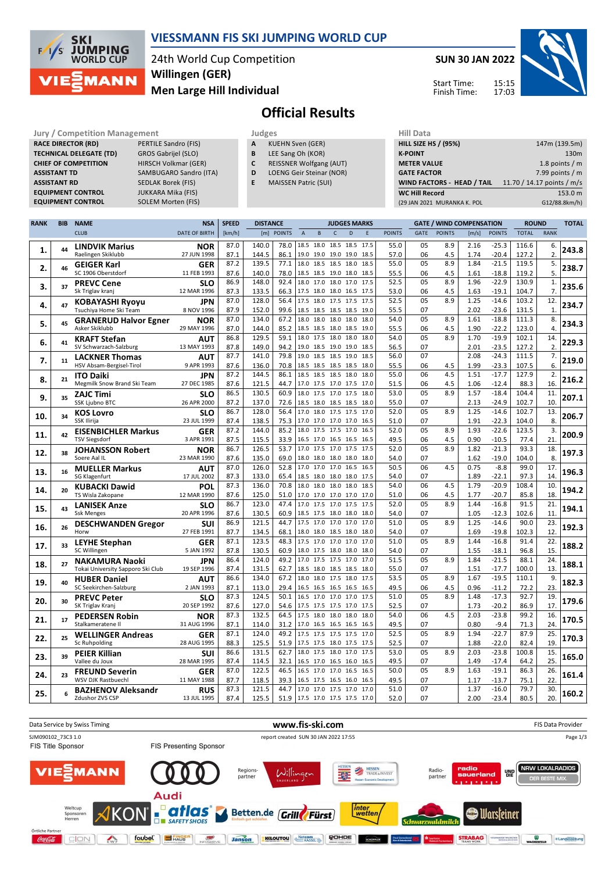

## **VIESSMANN FIS SKI JUMPING WORLD CUP**

24th World Cup Competition **Men Large Hill Individual Willingen (GER)**

**SUN 30 JAN 2022**

Start Time: Finish Time:



# **Official Results**

| Jury / Competition Management  |                           |   | Judges                         | <b>Hill Data</b>   |
|--------------------------------|---------------------------|---|--------------------------------|--------------------|
| <b>RACE DIRECTOR (RD)</b>      | PERTILE Sandro (FIS)      | A | <b>KUEHN Sven (GER)</b>        | <b>HILL SIZE I</b> |
| <b>TECHNICAL DELEGATE (TD)</b> | GROS Gabrijel (SLO)       | B | LEE Sang Oh (KOR)              | <b>K-POINT</b>     |
| <b>CHIEF OF COMPETITION</b>    | HIRSCH Volkmar (GER)      |   | <b>REISSNER Wolfgang (AUT)</b> | <b>METER VA</b>    |
| <b>ASSISTANT TD</b>            | SAMBUGARO Sandro (ITA)    | D | LOENG Geir Steinar (NOR)       | <b>GATE FACT</b>   |
| <b>ASSISTANT RD</b>            | SEDLAK Borek (FIS)        |   | <b>MAISSEN Patric (SUI)</b>    | <b>WIND FAC</b>    |
| <b>EQUIPMENT CONTROL</b>       | <b>JUKKARA Mika (FIS)</b> |   |                                | <b>WC Hill Re</b>  |
| <b>EQUIPMENT CONTROL</b>       | SOI EM Morton (FIS)       |   |                                | (20.11)            |

**SOLEM Morten (FIS)** 

- **A** KUEHN Sven (GER)
- **B** LEE Sang Oh (KOR)
- **C** REISSNER Wolfgang (AUT) **D** LOENG Geir Steinar (NOR)
- **E** MAISSEN Patric (SUI)
- **HILL SIZE HS / (95%)** 147m (139.5m) **K-POINT** 130m **METER VALUE** 1.8 points / m **GATE FACTOR** 7.99 points / m **WIND FACTORS - HEAD / TAIL** 11.70 / 14.17 points / m/s **WC Hill Record** 153.0 m (29 JAN 2021 MURANKA K. POL G12/88.8km/h)

| <b>RANK</b> | <b>BIB</b> | <b>NAME</b>                                       | <b>NSA</b>                | <b>SPEED</b> | <b>DISTANCE</b> |               |                                            |      | <b>JUDGES MARKS</b>                        |      |              |               |             | <b>GATE / WIND COMPENSATION</b> |              |                    | <b>ROUND</b>   |                      | <b>TOTAL</b> |
|-------------|------------|---------------------------------------------------|---------------------------|--------------|-----------------|---------------|--------------------------------------------|------|--------------------------------------------|------|--------------|---------------|-------------|---------------------------------|--------------|--------------------|----------------|----------------------|--------------|
|             |            | <b>CLUB</b>                                       | <b>DATE OF BIRTH</b>      | [km/h]       | [m]             | <b>POINTS</b> | $\overline{A}$                             | B    | $\mathsf{C}$                               | D    | F            | <b>POINTS</b> | <b>GATE</b> | <b>POINTS</b>                   | [m/s]        | <b>POINTS</b>      | <b>TOTAL</b>   | <b>RANK</b>          |              |
|             |            | <b>LINDVIK Marius</b>                             | <b>NOR</b>                | 87.0         | 140.0           | 78.0          | 18.5 18.0 18.5                             |      |                                            |      | 18.5 17.5    | 55.0          | 05          | 8.9                             | 2.16         | $-25.3$            | 116.6          | 6.                   |              |
| 1.          | 44         | Raelingen Skiklubb                                | 27 JUN 1998               | 87.1         | 144.5           | 86.1          | 19.0                                       | 19.0 | 19.0 19.0                                  |      | 18.5         | 57.0          | 06          | 4.5                             | 1.74         | $-20.4$            | 127.2          | 2.                   | 243.8        |
| 2.          | 46         | <b>GEIGER Karl</b>                                | <b>GER</b>                | 87.2         | 139.5           | 77.1          | 18.0                                       | 18.5 | 18.5                                       | 18.0 | 18.5         | 55.0          | 05          | 8.9                             | 1.84         | $-21.5$            | 119.5          | 5.                   | 238.7        |
|             |            | SC 1906 Oberstdorf                                | 11 FEB 1993               | 87.6         | 140.0           | 78.0          |                                            |      | 18.5 18.5 19.0 18.0                        |      | 18.5         | 55.5          | 06          | 4.5                             | 1.61         | $-18.8$            | 119.2          | 5.                   |              |
| 3.          | 37         | <b>PREVC Cene</b>                                 | <b>SLO</b>                | 86.9         | 148.0           | 92.4          | 18.0 17.0 18.0 17.0                        |      |                                            |      | 17.5         | 52.5          | 05          | 8.9                             | 1.96         | $-22.9$            | 130.9          | 1.                   | 235.6        |
|             |            | Sk Triglav kranj                                  | 12 MAR 1996               | 87.3         | 133.5           | 66.3          | 17.5 18.0 18.0 16.5 17.5                   |      |                                            |      |              | 53.0          | 06          | 4.5                             | 1.63         | $-19.1$            | 104.7          | 7.                   |              |
| 4.          | 47         | <b>KOBAYASHI Ryoyu</b>                            | <b>JPN</b>                | 87.0         | 128.0           | 56.4          | 17.5                                       |      | 18.0 17.5 17.5                             |      | 17.5         | 52.5          | 05          | 8.9                             | 1.25         | $-14.6$            | 103.2          | 12.                  | 234.7        |
|             |            | Tsuchiya Home Ski Team                            | 8 NOV 1996                | 87.9         | 152.0<br>134.0  | 99.6<br>67.2  | 18.5 18.5 18.5 18.5 19.0<br>18.0           |      |                                            |      |              | 55.5<br>54.0  | 07<br>05    | 8.9                             | 2.02<br>1.61 | $-23.6$<br>$-18.8$ | 131.5          | $\mathbf{1}$ .<br>8. |              |
| 5.          | 45         | <b>GRANERUD Halvor Egner</b><br>Asker Skiklubb    | NOR<br>29 MAY 1996        | 87.0<br>87.0 | 144.0           | 85.2          |                                            |      | 18.0 18.0 18.0<br>18.5 18.5 18.0 18.5 19.0 |      | 18.0         | 55.5          | 06          | 4.5                             | 1.90         | $-22.2$            | 111.3<br>123.0 | 4.                   | 234.3        |
|             |            |                                                   |                           | 86.8         | 129.5           | 59.1          |                                            |      | 18.0 17.5 18.0 18.0                        |      | 18.0         | 54.0          | 05          | 8.9                             | 1.70         | $-19.9$            | 102.1          | 14.                  |              |
| 6.          | 41         | <b>KRAFT Stefan</b><br>SV Schwarzach-Salzburg     | AUT<br>13 MAY 1993        | 87.8         | 149.0           | 94.2          |                                            |      | 19.0 18.5 19.0 19.0                        |      | 18.5         | 56.5          | 07          |                                 | 2.01         | $-23.5$            | 127.2          | 2.                   | 229.3        |
|             |            |                                                   | <b>AUT</b>                | 87.7         | 141.0           | 79.8          |                                            |      | 19.0 18.5 18.5 19.0                        |      | 18.5         | 56.0          | 07          |                                 | 2.08         | $-24.3$            | 111.5          | 7.                   |              |
| 7.          | 11         | <b>LACKNER Thomas</b><br>HSV Absam-Bergisel-Tirol | 9 APR 1993                | 87.6         | 136.0           | 70.8          |                                            |      | 18.5 18.5 18.5 18.5                        |      | 18.0         | 55.5          | 06          | 4.5                             | 1.99         | $-23.3$            | 107.5          | 6.                   | 219.0        |
|             |            | <b>ITO Daiki</b>                                  | JPN                       | 87.2         | 144.5           | 86.1          | 18.5 18.5 18.5 18.0                        |      |                                            |      | 18.0         | 55.0          | 06          | 4.5                             | 1.51         | $-17.7$            | 127.9          | 2.                   |              |
| 8.          | 21         | Megmilk Snow Brand Ski Team                       | 27 DEC 1985               | 87.6         | 121.5           | 44.7          | 17.0 17.5 17.0 17.5 17.0                   |      |                                            |      |              | 51.5          | 06          | 4.5                             | 1.06         | $-12.4$            | 88.3           | 16.                  | 216.2        |
|             |            | <b>ZAJC Timi</b>                                  | SLO                       | 86.5         | 130.5           | 60.9          | 18.0                                       |      | 17.5 17.0 17.5                             |      | 18.0         | 53.0          | 05          | 8.9                             | 1.57         | $-18.4$            | 104.4          | 11.                  |              |
| 9.          | 35         | <b>SSK Ljubno BTC</b>                             | 26 APR 2000               | 87.2         | 137.0           | 72.6          | 18.5 18.0 18.5 18.5 18.0                   |      |                                            |      |              | 55.0          | 07          |                                 | 2.13         | $-24.9$            | 102.7          | 10.                  | 207.1        |
|             |            | <b>KOS Lovro</b>                                  | <b>SLO</b>                | 86.7         | 128.0           | 56.4          | 17.0 18.0 17.5 17.5 17.0                   |      |                                            |      |              | 52.0          | 05          | 8.9                             | 1.25         | $-14.6$            | 102.7          | 13.                  |              |
| 10.         | 34         | <b>SSK Ilirija</b>                                | 23 JUL 1999               | 87.4         | 138.5           | 75.3          | 17.0 17.0 17.0 17.0 16.5                   |      |                                            |      |              | 51.0          | 07          |                                 | 1.91         | $-22.3$            | 104.0          | 8.                   | 206.7        |
| 11.         | 42         | <b>EISENBICHLER Markus</b>                        | <b>GER</b>                | 87.2         | 144.0           | 85.2          | 18.0 17.5 17.5 17.0                        |      |                                            |      | 16.5         | 52.0          | 05          | 8.9                             | 1.93         | $-22.6$            | 123.5          | 3.                   | 200.9        |
|             |            | <b>TSV Siegsdorf</b>                              | 3 APR 1991                | 87.5         | 115.5           | 33.9          | 16.5 17.0 16.5 16.5 16.5                   |      |                                            |      |              | 49.5          | 06          | 4.5                             | 0.90         | $-10.5$            | 77.4           | 21.                  |              |
| 12.         | 38         | <b>JOHANSSON Robert</b>                           | <b>NOR</b>                | 86.7         | 126.5           | 53.7          | 17.0                                       |      | 17.5 17.0 17.5                             |      | 17.5         | 52.0          | 05          | 8.9                             | 1.82         | $-21.3$            | 93.3           | 18.                  | 197.3        |
|             |            | Soere Aal IL                                      | 23 MAR 1990               | 87.6         | 135.0           | 69.0          | 18.0 18.0 18.0 18.0 18.0                   |      |                                            |      |              | 54.0          | 07          |                                 | 1.62         | $-19.0$            | 104.0          | 8.                   |              |
| 13.         | 16         | <b>MUELLER Markus</b>                             | <b>AUT</b>                | 87.0         | 126.0           | 52.8          | 17.0 17.0 17.0 16.5 16.5                   |      |                                            |      |              | 50.5          | 06          | 4.5                             | 0.75         | $-8.8$             | 99.0           | 17.                  | 196.3        |
|             |            | <b>SG Klagenfurt</b>                              | 17 JUL 2002               | 87.3         | 133.0           | 65.4          | 18.5 18.0 18.0 18.0                        |      |                                            |      | 17.5         | 54.0          | 07          |                                 | 1.89         | $-22.1$            | 97.3           | 14.                  |              |
| 14          | 20         | <b>KUBACKI Dawid</b>                              | POL                       | 87.3         | 136.0           | 70.8          |                                            |      | 18.0 18.0 18.0 18.0                        |      | 18.5         | 54.0          | 06          | 4.5                             | 1.79         | $-20.9$            | 108.4          | 10.                  | 194.2        |
|             |            | TS Wisla Zakopane                                 | 12 MAR 1990               | 87.6         | 125.0           | 51.0          | 17.0 17.0 17.0 17.0                        |      |                                            |      | 17.0         | 51.0          | 06          | 4.5                             | 1.77         | $-20.7$            | 85.8           | 18.                  |              |
| 15.         | 43         | <b>LANISEK Anze</b>                               | SLO<br>20 APR 1996        | 86.7<br>87.6 | 123.0           | 47.4<br>60.9  | 17.0 17.5 17.0 17.5                        |      |                                            |      | 17.5<br>18.0 | 52.0          | 05          | 8.9                             | 1.44         | $-16.8$            | 91.5<br>102.6  | 21.<br>11.           | 194.1        |
|             |            | <b>Ssk Menges</b>                                 |                           | 86.9         | 130.5<br>121.5  | 44.7          | 18.5 17.5 18.0 18.0                        |      | 17.5 17.0 17.0 17.0                        |      | 17.0         | 54.0<br>51.0  | 07<br>05    | 8.9                             | 1.05<br>1.25 | $-12.3$<br>$-14.6$ | 90.0           | 23.                  |              |
| 16.         | 26         | <b>DESCHWANDEN Gregor</b><br>Horw                 | suı<br>27 FEB 1991        | 87.7         | 134.5           | 68.1          | 18.0 18.0 18.5 18.0                        |      |                                            |      | 18.0         | 54.0          | 07          |                                 | 1.69         | $-19.8$            | 102.3          | 12                   | 192.3        |
|             |            |                                                   | <b>GER</b>                | 87.1         | 123.5           | 48.3          | 17.5 17.0 17.0 17.0                        |      |                                            |      | 17.0         | 51.0          | 05          | 8.9                             | 1.44         | $-16.8$            | 91.4           | 22.                  |              |
| 17.         | 33         | <b>LEYHE Stephan</b><br>SC Willingen              | 5 JAN 1992                | 87.8         | 130.5           | 60.9          | 18.0 17.5 18.0 18.0 18.0                   |      |                                            |      |              | 54.0          | 07          |                                 | 1.55         | $-18.1$            | 96.8           | 15.                  | 188.2        |
|             |            | <b>NAKAMURA Naoki</b>                             | <b>JPN</b>                | 86.4         | 124.0           | 49.2          | 17.0 17.5 17.5 17.0                        |      |                                            |      | 17.0         | 51.5          | 05          | 8.9                             | 1.84         | $-21.5$            | 88.1           | 24.                  |              |
| 18.         | 27         | Tokai University Sapporo Ski Club                 | 19 SEP 1996               | 87.4         | 131.5           | 62.7          | 18.5 18.0 18.5 18.5 18.0                   |      |                                            |      |              | 55.0          | 07          |                                 | 1.51         | $-17.7$            | 100.0          | 13.                  | 188.1        |
|             |            | <b>HUBER Daniel</b>                               | <b>AUT</b>                | 86.6         | 134.0           | 67.2          | 18.0                                       |      | 18.0 17.5 18.0                             |      | 17.5         | 53.5          | 05          | 8.9                             | 1.67         | $-19.5$            | 110.1          | 9.                   |              |
| 19.         | 40         | SC Seekirchen-Salzburg                            | 2 JAN 1993                | 87.1         | 113.0           | 29.4          |                                            |      | 16.5 16.5 16.5 16.5 16.5                   |      |              | 49.5          | 06          | 4.5                             | 0.96         | $-11.2$            | 72.2           | 23.                  | 182.3        |
| 20.         | 30         | <b>PREVC Peter</b>                                | SLO                       | 87.3         | 124.5           | 50.1          |                                            |      | 16.5 17.0 17.0 17.0 17.5                   |      |              | 51.0          | 05          | 8.9                             | 1.48         | $-17.3$            | 92.7           | 19.                  | 179.6        |
|             |            | SK Triglav Kranj                                  | 20 SEP 1992               | 87.6         | 127.0           | 54.6          | 17.5 17.5 17.5 17.0                        |      |                                            |      | 17.5         | 52.5          | 07          |                                 | 1.73         | $-20.2$            | 86.9           | 17.                  |              |
| 21.         | 17         | <b>PEDERSEN Robin</b>                             | <b>NOR</b>                | 87.3         | 132.5           | 64.5          | 17.5 18.0 18.0 18.0                        |      |                                            |      | 18.0         | 54.0          | 06          | 4.5                             | 2.03         | $-23.8$            | 99.2           | 16.                  | 170.5        |
|             |            | Stalkameratene II                                 | 31 AUG 1996               | 87.1         | 114.0           | 31.2          | 17.0                                       |      | 16.5 16.5 16.5                             |      | 16.5         | 49.5          | 07          |                                 | 0.80         | $-9.4$             | 71.3           | 24.                  |              |
| 22.         | 25         | <b>WELLINGER Andreas</b>                          | <b>GER</b>                | 87.1         | 124.0           | 49.2          | 17.5 17.5 17.5 17.5                        |      |                                            |      | 17.0         | 52.5          | 05          | 8.9                             | 1.94         | $-22.7$            | 87.9           | 25.                  | 170.3        |
|             |            | Sc Ruhpolding                                     | 28 AUG 1995               | 88.3         | 125.5           | 51.9          | 17.5 17.5 18.0 17.5 17.5                   |      |                                            |      |              | 52.5          | 07          |                                 | 1.88         | $-22.0$            | 82.4           | 19.                  |              |
| 23.         | 39         | <b>PEIER Killian</b>                              | <b>SUI</b>                | 86.6         | 131.5           | 62.7          |                                            |      | 18.0 17.5 18.0 17.0                        |      | 17.5         | 53.0          | 05          | 8.9                             | 2.03         | $-23.8$            | 100.8          | 15.                  | 165.0        |
|             |            | Vallee du Joux                                    | 28 MAR 1995               | 87.4         | 114.5           | 32.1          | 16.5 17.0 16.5 16.0                        |      |                                            |      | 16.5         | 49.5          | 07          |                                 | 1.49         | $-17.4$            | 64.2           | 25.                  |              |
| 24.         | 23         | <b>FREUND Severin</b>                             | <b>GER</b>                | 87.0         | 122.5           | 46.5          | 16.5 17.0 17.0 16.5                        |      |                                            |      | 16.5         | 50.0          | 0.5         | 8.9                             | 1.63         | $-19.1$            | 86.3           | 26.                  | 161.4        |
|             |            | WSV DJK Rastbuechl                                | 11 MAY 1988               | 87.7<br>87.3 | 118.5<br>121.5  | 39.3<br>44.7  | 16.5 17.5 16.5 16.0<br>17.0 17.0 17.5 17.0 |      |                                            |      | 16.5<br>17.0 | 49.5<br>51.0  | 07<br>07    |                                 | 1.17<br>1.37 | $-13.7$<br>$-16.0$ | 75.1<br>79.7   | 22.<br>30.           |              |
| 25.         | 6          | <b>BAZHENOV Aleksandr</b><br>Zdushor ZVS CSP      | <b>RUS</b><br>13 JUL 1995 | 87.4         | 125.5           | 51.9          | 17.5 17.0 17.5 17.5 17.0                   |      |                                            |      |              | 52.0          | 07          |                                 | 2.00         | $-23.4$            | 80.5           | 20.                  | 160.2        |
|             |            |                                                   |                           |              |                 |               |                                            |      |                                            |      |              |               |             |                                 |              |                    |                |                      |              |

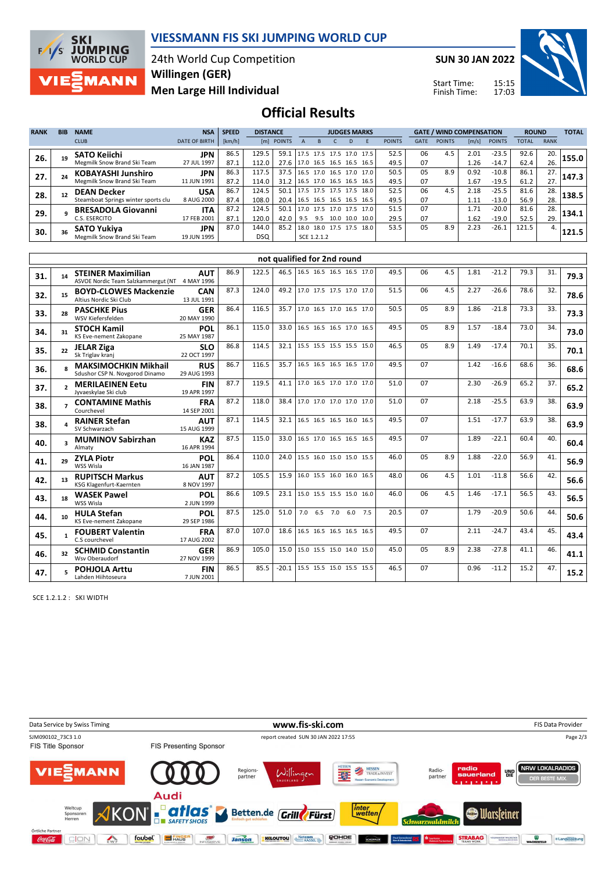

## **VIESSMANN FIS SKI JUMPING WORLD CUP**

24th World Cup Competition **Men Large Hill Individual Willingen (GER)**

**SUN 30 JAN 2022**

Start Time: Finish Time:



**Official Results**

|             |            |                                     |                      |              |       |                 |                          |             |                     |   |      |               |             |                                 |       |               |              |              | <b>TOTAL</b> |
|-------------|------------|-------------------------------------|----------------------|--------------|-------|-----------------|--------------------------|-------------|---------------------|---|------|---------------|-------------|---------------------------------|-------|---------------|--------------|--------------|--------------|
| <b>RANK</b> | <b>BIB</b> | <b>NAME</b>                         | <b>NSA</b>           | <b>SPEED</b> |       | <b>DISTANCE</b> |                          |             | <b>JUDGES MARKS</b> |   |      |               |             | <b>GATE / WIND COMPENSATION</b> |       |               |              | <b>ROUND</b> |              |
|             |            | <b>CLUB</b>                         | <b>DATE OF BIRTH</b> | [km/h]       | [ml]  | <b>POINTS</b>   |                          |             |                     | D |      | <b>POINTS</b> | <b>GATE</b> | <b>POINTS</b>                   | [m/s] | <b>POINTS</b> | <b>TOTAL</b> | <b>RANK</b>  |              |
| 26.         | 19         | <b>SATO Keiichi</b>                 | <b>JPN</b>           | 86.5         | 129.5 | 59.1            | 17.5 17.5 17.5 17.0 17.5 |             |                     |   |      | 52.5          | 06          | 4.5                             | 2.01  | $-23.5$       | 92.6         | 20.          | 155.0        |
|             |            | Megmilk Snow Brand Ski Team         | 27 JUL 1997          | 87.1         | 112.0 | 27.6            | 17.0 16.5 16.5 16.5      |             |                     |   | 16.5 | 49.5          | 07          |                                 | 1.26  | $-14.7$       | 62.4         | 26.          |              |
| 27.         |            | <b>KOBAYASHI Junshiro</b>           | <b>JPN</b>           | 86.3         | 117.5 | 37.5            | 16.5 17.0 16.5 17.0 17.0 |             |                     |   |      | 50.5          | 05          | 8.9                             | 0.92  | $-10.8$       | 86.1         | 27.          | 147.3        |
|             |            | Megmilk Snow Brand Ski Team         | 11 JUN 1991          | 87.2         | 114.0 | 31.2            | 16.5 17.0 16.5 16.5      |             |                     |   | 16.5 | 49.5          | 07          |                                 | 1.67  | $-19.5$       | 61.2         | 27.          |              |
| 28.         |            | <b>DEAN Decker</b>                  | <b>USA</b>           | 86.7         | 124.5 | 50.1            | 17.5 17.5 17.5 17.5      |             |                     |   | 18.0 | 52.5          | 06          | 4.5                             | 2.18  | $-25.5$       | 81.6         | 28.          | 138.5        |
|             |            | Steamboat Springs winter sports clu | 8 AUG 2000           | 87.4         | 108.0 | 20.4            | 16.5 16.5 16.5 16.5 16.5 |             |                     |   |      | 49.5          | 07          |                                 | 1.11  | $-13.0$       | 56.9         | 28.          |              |
| 29.         |            | <b>BRESADOLA Giovanni</b>           | <b>ITA</b>           | 87.2         | 124.5 | 50.1            | 17.0                     | 17.5        | 17.0 17.5           |   | 17.0 | 51.5          | 07          |                                 | 1.71  | $-20.0$       | 81.6         | 28.          | 134.1        |
|             |            | C.S. ESERCITO                       | 17 FEB 2001          | 87.1         | 120.0 | 42.0            | 9.5                      | 9.5         | 10.0 10.0           |   | 10.0 | 29.5          | 07          |                                 | 1.62  | $-19.0$       | 52.5         | 29.          |              |
| 30.         |            | <b>SATO Yukiva</b>                  | JPN                  | 87.0         | 144.0 | 85.2            | 18.0 18.0 17.5 17.5      |             |                     |   | 18.0 | 53.5          | 05          | 8.9                             | 2.23  | $-26.1$       | 121.5        | 4.           | 121.5        |
|             |            | Megmilk Snow Brand Ski Team         | 19 JUN 1995          |              | DSQ   |                 |                          | SCE 1.2.1.2 |                     |   |      |               |             |                                 |       |               |              |              |              |

|     |                         |                                                                             |                           |      |       |         | not qualified for 2nd round |     |      |    |     |      |         |      |     |      |
|-----|-------------------------|-----------------------------------------------------------------------------|---------------------------|------|-------|---------|-----------------------------|-----|------|----|-----|------|---------|------|-----|------|
| 31. | 14                      | <b>STEINER Maximilian</b><br>ASVOE Nordic Team Salzkammergut (NT 4 MAY 1996 | <b>AUT</b>                | 86.9 | 122.5 | 46.5    | 16.5 16.5 16.5 16.5 17.0    |     | 49.5 | 06 | 4.5 | 1.81 | $-21.2$ | 79.3 | 31. | 79.3 |
| 32. | 15                      | <b>BOYD-CLOWES Mackenzie</b><br>Altius Nordic Ski Club                      | <b>CAN</b><br>13 JUL 1991 | 87.3 | 124.0 | 49.2    | 17.0 17.5 17.5 17.0 17.0    |     | 51.5 | 06 | 4.5 | 2.27 | $-26.6$ | 78.6 | 32. | 78.6 |
| 33. | 28                      | <b>PASCHKE Pius</b><br>WSV Kiefersfelden                                    | <b>GER</b><br>20 MAY 1990 | 86.4 | 116.5 | 35.7    | 17.0 16.5 17.0 16.5 17.0    |     | 50.5 | 05 | 8.9 | 1.86 | $-21.8$ | 73.3 | 33. | 73.3 |
| 34. | 31                      | <b>STOCH Kamil</b><br>KS Eve-nement Zakopane                                | POL<br>25 MAY 1987        | 86.1 | 115.0 | 33.0    | 16.5 16.5 16.5 17.0 16.5    |     | 49.5 | 05 | 8.9 | 1.57 | $-18.4$ | 73.0 | 34. | 73.0 |
| 35. | 22                      | <b>JELAR Ziga</b><br>Sk Triglav kranj                                       | <b>SLO</b><br>22 OCT 1997 | 86.8 | 114.5 | 32.1    | 15.5 15.5 15.5 15.5 15.0    |     | 46.5 | 05 | 8.9 | 1.49 | $-17.4$ | 70.1 | 35. | 70.1 |
| 36. |                         | <b>MAKSIMOCHKIN Mikhail</b><br>Sdushor CSP N. Novgorod Dinamo               | <b>RUS</b><br>29 AUG 1993 | 86.7 | 116.5 | 35.7    | 16.5 16.5 16.5 16.5 17.0    |     | 49.5 | 07 |     | 1.42 | $-16.6$ | 68.6 | 36. | 68.6 |
| 37. |                         | <b>MERILAEINEN Eetu</b><br>Jyvaeskylae Ski club                             | <b>FIN</b><br>19 APR 1997 | 87.7 | 119.5 | 41.1    | 17.0 16.5 17.0 17.0 17.0    |     | 51.0 | 07 |     | 2.30 | $-26.9$ | 65.2 | 37. | 65.2 |
| 38. |                         | <b>CONTAMINE Mathis</b><br>Courchevel                                       | <b>FRA</b><br>14 SEP 2001 | 87.2 | 118.0 | 38.4    | 17.0 17.0 17.0 17.0 17.0    |     | 51.0 | 07 |     | 2.18 | $-25.5$ | 63.9 | 38. | 63.9 |
| 38. |                         | <b>RAINER Stefan</b><br>SV Schwarzach                                       | <b>AUT</b><br>15 AUG 1999 | 87.1 | 114.5 | 32.1    | 16.5 16.5 16.5 16.0 16.5    |     | 49.5 | 07 |     | 1.51 | $-17.7$ | 63.9 | 38. | 63.9 |
| 40. | $\overline{\mathbf{a}}$ | <b>MUMINOV Sabirzhan</b><br>Almaty                                          | <b>KAZ</b><br>16 APR 1994 | 87.5 | 115.0 | 33.0    | 16.5 17.0 16.5 16.5 16.5    |     | 49.5 | 07 |     | 1.89 | $-22.1$ | 60.4 | 40. | 60.4 |
| 41. | 29                      | <b>ZYLA Piotr</b><br>WSS Wisla                                              | <b>POL</b><br>16 JAN 1987 | 86.4 | 110.0 | 24.0    | 15.5 16.0 15.0 15.0 15.5    |     | 46.0 | 05 | 8.9 | 1.88 | $-22.0$ | 56.9 | 41. | 56.9 |
| 42. | 13                      | <b>RUPITSCH Markus</b><br>KSG Klagenfurt-Kaernten                           | <b>AUT</b><br>8 NOV 1997  | 87.2 | 105.5 | 15.9    | 16.0 15.5 16.0 16.0 16.5    |     | 48.0 | 06 | 4.5 | 1.01 | $-11.8$ | 56.6 | 42. | 56.6 |
| 43. | 18                      | <b>WASEK Pawel</b><br>WSS Wisla                                             | POL<br>2 JUN 1999         | 86.6 | 109.5 | 23.1    | 15.0 15.5 15.5 15.0 16.0    |     | 46.0 | 06 | 4.5 | 1.46 | $-17.1$ | 56.5 | 43. | 56.5 |
| 44. | 10                      | <b>HULA Stefan</b><br>KS Eve-nement Zakopane                                | POL<br>29 SEP 1986        | 87.5 | 125.0 | 51.0    | 7.0 6.5 7.0 6.0             | 7.5 | 20.5 | 07 |     | 1.79 | $-20.9$ | 50.6 | 44. | 50.6 |
| 45. |                         | <b>FOUBERT Valentin</b><br>C.S courchevel                                   | <b>FRA</b><br>17 AUG 2002 | 87.0 | 107.0 | 18.6    | 16.5 16.5 16.5 16.5 16.5    |     | 49.5 | 07 |     | 2.11 | $-24.7$ | 43.4 | 45. | 43.4 |
| 46. | 32                      | <b>SCHMID Constantin</b><br>Wsv Oberaudorf                                  | <b>GER</b><br>27 NOV 1999 | 86.9 | 105.0 | 15.0    | 15.0 15.5 15.0 14.0 15.0    |     | 45.0 | 05 | 8.9 | 2.38 | $-27.8$ | 41.1 | 46. | 41.1 |
| 47. |                         | <b>POHJOLA Arttu</b><br>Lahden Hiihtoseura                                  | <b>FIN</b><br>7 JUN 2001  | 86.5 | 85.5  | $-20.1$ | 15.5 15.5 15.0 15.5 15.5    |     | 46.5 | 07 |     | 0.96 | $-11.2$ | 15.2 | 47. | 15.2 |

SCE 1.2.1.2 : SKI WIDTH